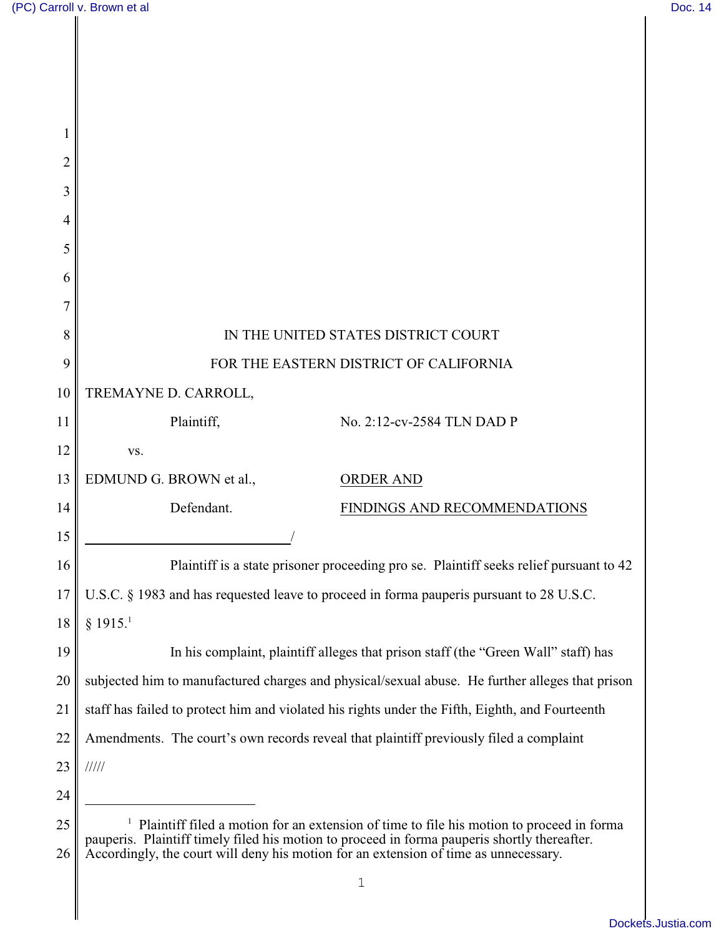| 2        |                                                                                                                                                                                                                                                                                                  |
|----------|--------------------------------------------------------------------------------------------------------------------------------------------------------------------------------------------------------------------------------------------------------------------------------------------------|
| 3        |                                                                                                                                                                                                                                                                                                  |
| 4        |                                                                                                                                                                                                                                                                                                  |
| 5        |                                                                                                                                                                                                                                                                                                  |
| 6        |                                                                                                                                                                                                                                                                                                  |
|          |                                                                                                                                                                                                                                                                                                  |
| 8        | IN THE UNITED STATES DISTRICT COURT                                                                                                                                                                                                                                                              |
| 9        | FOR THE EASTERN DISTRICT OF CALIFORNIA                                                                                                                                                                                                                                                           |
| 10       | TREMAYNE D. CARROLL,                                                                                                                                                                                                                                                                             |
| 11       | Plaintiff,<br>No. 2:12-cv-2584 TLN DAD P                                                                                                                                                                                                                                                         |
| 12       | VS.                                                                                                                                                                                                                                                                                              |
| 13       | EDMUND G. BROWN et al.,<br><b>ORDER AND</b>                                                                                                                                                                                                                                                      |
| 14       | Defendant.<br>FINDINGS AND RECOMMENDATIONS                                                                                                                                                                                                                                                       |
| 15       |                                                                                                                                                                                                                                                                                                  |
| 16       | Plaintiff is a state prisoner proceeding pro se. Plaintiff seeks relief pursuant to 42                                                                                                                                                                                                           |
| 17       | U.S.C. § 1983 and has requested leave to proceed in forma pauperis pursuant to 28 U.S.C.                                                                                                                                                                                                         |
| 18       | § 1915. <sup>1</sup>                                                                                                                                                                                                                                                                             |
| 19       | In his complaint, plaintiff alleges that prison staff (the "Green Wall" staff) has                                                                                                                                                                                                               |
| 20       | subjected him to manufactured charges and physical/sexual abuse. He further alleges that prison                                                                                                                                                                                                  |
| 21       | staff has failed to protect him and violated his rights under the Fifth, Eighth, and Fourteenth                                                                                                                                                                                                  |
| 22       | Amendments. The court's own records reveal that plaintiff previously filed a complaint                                                                                                                                                                                                           |
| 23       | 11111                                                                                                                                                                                                                                                                                            |
| 24       |                                                                                                                                                                                                                                                                                                  |
| 25<br>26 | $\mathbf{I}$<br>Plaintiff filed a motion for an extension of time to file his motion to proceed in forma<br>pauperis. Plaintiff timely filed his motion to proceed in forma pauperis shortly thereafter.<br>Accordingly, the court will deny his motion for an extension of time as unnecessary. |